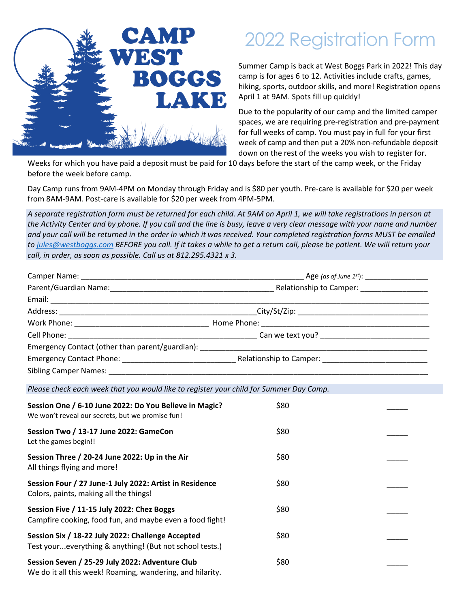

## 2022 Registration Form

Summer Camp is back at West Boggs Park in 2022! This day camp is for ages 6 to 12. Activities include crafts, games, hiking, sports, outdoor skills, and more! Registration opens April 1 at 9AM. Spots fill up quickly!

Due to the popularity of our camp and the limited camper spaces, we are requiring pre-registration and pre-payment for full weeks of camp. You must pay in full for your first week of camp and then put a 20% non-refundable deposit down on the rest of the weeks you wish to register for.

Weeks for which you have paid a deposit must be paid for 10 days before the start of the camp week, or the Friday before the week before camp.

Day Camp runs from 9AM-4PM on Monday through Friday and is \$80 per youth. Pre-care is available for \$20 per week from 8AM-9AM. Post-care is available for \$20 per week from 4PM-5PM.

*A separate registration form must be returned for each child. At 9AM on April 1, we will take registrations in person at the Activity Center and by phone. If you call and the line is busy, leave a very clear message with your name and number and your call will be returned in the order in which it was received. Your completed registration forms MUST be emailed to [jules@westboggs.com](mailto:jules@westboggs.com) BEFORE you call. If it takes a while to get a return call, please be patient. We will return your call, in order, as soon as possible. Call us at 812.295.4321 x 3.*

| Emergency Contact (other than parent/guardian): Laterature and the control of the control of the control of the control of the control of the control of the control of the control of the control of the control of the contr |                         |
|--------------------------------------------------------------------------------------------------------------------------------------------------------------------------------------------------------------------------------|-------------------------|
| Emergency Contact Phone: National Phone Service Contract Phone Service Contract Phone Service Contract Phone Service Contract Phone Service Contract Phone Service Contract Phone Service Contract Phone Service Contract Phon | Relationship to Camper: |
| Sibling Camper Names: Manual Manual Manual Manual Manual Manual Manual Manual Manual Manual Manual Manual Manual Ma                                                                                                            |                         |

*Please check each week that you would like to register your child for Summer Day Camp.*

| Session One / 6-10 June 2022: Do You Believe in Magic?<br>We won't reveal our secrets, but we promise fun!   | \$80 |  |
|--------------------------------------------------------------------------------------------------------------|------|--|
| Session Two / 13-17 June 2022: GameCon<br>Let the games begin!!                                              | \$80 |  |
| Session Three / 20-24 June 2022: Up in the Air<br>All things flying and more!                                | \$80 |  |
| Session Four / 27 June-1 July 2022: Artist in Residence<br>Colors, paints, making all the things!            | \$80 |  |
| Session Five / 11-15 July 2022: Chez Boggs<br>Campfire cooking, food fun, and maybe even a food fight!       | \$80 |  |
| Session Six / 18-22 July 2022: Challenge Accepted<br>Test youreverything & anything! (But not school tests.) | \$80 |  |
| Session Seven / 25-29 July 2022: Adventure Club<br>We do it all this week! Roaming, wandering, and hilarity. | \$80 |  |